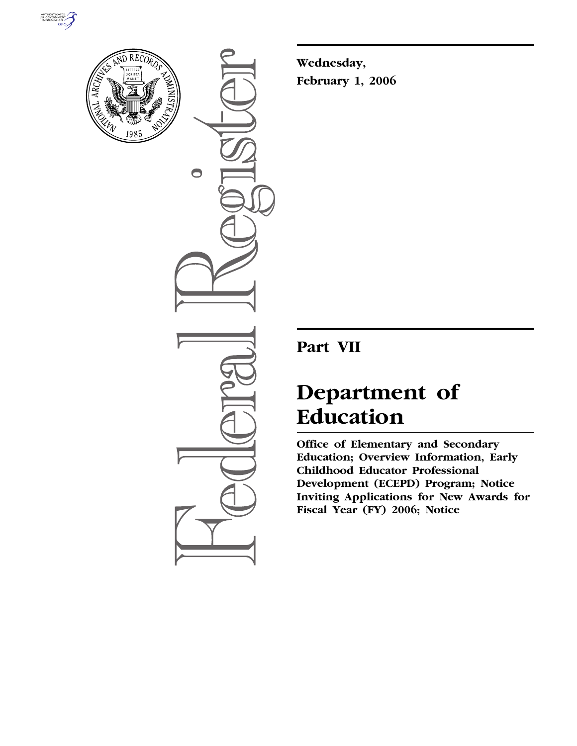



 $\bigcirc$ 

**Wednesday, February 1, 2006** 

# **Part VII**

# **Department of Education**

**Office of Elementary and Secondary Education; Overview Information, Early Childhood Educator Professional Development (ECEPD) Program; Notice Inviting Applications for New Awards for Fiscal Year (FY) 2006; Notice**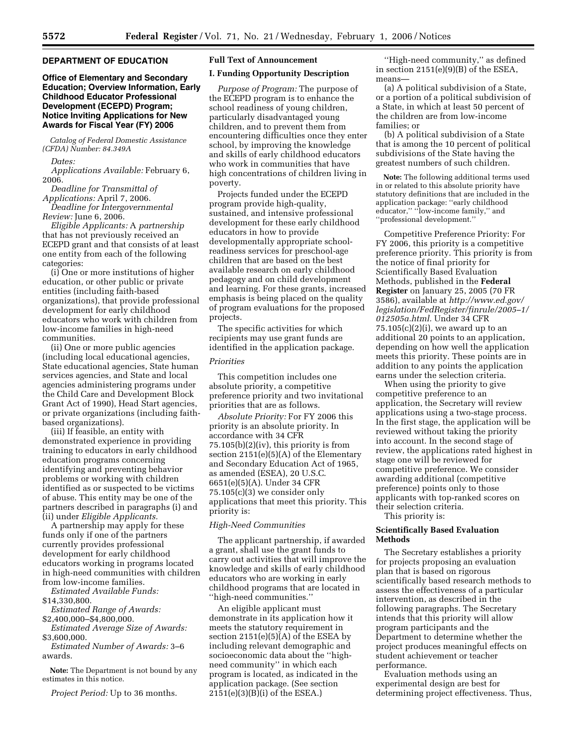# **DEPARTMENT OF EDUCATION**

# **Office of Elementary and Secondary Education; Overview Information, Early Childhood Educator Professional Development (ECEPD) Program; Notice Inviting Applications for New Awards for Fiscal Year (FY) 2006**

*Catalog of Federal Domestic Assistance (CFDA) Number: 84.349A* 

*Dates:* 

*Applications Available:* February 6, 2006.

*Deadline for Transmittal of Applications:* April 7, 2006. *Deadline for Intergovernmental* 

*Review:* June 6, 2006.

*Eligible Applicants:* A *partnership*  that has not previously received an ECEPD grant and that consists of at least one entity from each of the following categories:

(i) One or more institutions of higher education, or other public or private entities (including faith-based organizations), that provide professional development for early childhood educators who work with children from low-income families in high-need communities.

(ii) One or more public agencies (including local educational agencies, State educational agencies, State human services agencies, and State and local agencies administering programs under the Child Care and Development Block Grant Act of 1990), Head Start agencies, or private organizations (including faithbased organizations).

(iii) If feasible, an entity with demonstrated experience in providing training to educators in early childhood education programs concerning identifying and preventing behavior problems or working with children identified as or suspected to be victims of abuse. This entity may be one of the partners described in paragraphs (i) and (ii) under *Eligible Applicants.* 

A partnership may apply for these funds only if one of the partners currently provides professional development for early childhood educators working in programs located in high-need communities with children from low-income families.

*Estimated Available Funds:* 

\$14,330,800.

*Estimated Range of Awards:*  \$2,400,000–\$4,800,000.

*Estimated Average Size of Awards:*  \$3,600,000.

*Estimated Number of Awards:* 3–6 awards.

**Note:** The Department is not bound by any estimates in this notice.

*Project Period:* Up to 36 months.

# **Full Text of Announcement**

#### **I. Funding Opportunity Description**

*Purpose of Program:* The purpose of the ECEPD program is to enhance the school readiness of young children, particularly disadvantaged young children, and to prevent them from encountering difficulties once they enter school, by improving the knowledge and skills of early childhood educators who work in communities that have high concentrations of children living in poverty.

Projects funded under the ECEPD program provide high-quality, sustained, and intensive professional development for these early childhood educators in how to provide developmentally appropriate schoolreadiness services for preschool-age children that are based on the best available research on early childhood pedagogy and on child development and learning. For these grants, increased emphasis is being placed on the quality of program evaluations for the proposed projects.

The specific activities for which recipients may use grant funds are identified in the application package.

#### *Priorities*

This competition includes one absolute priority, a competitive preference priority and two invitational priorities that are as follows.

*Absolute Priority:* For FY 2006 this priority is an absolute priority. In accordance with 34 CFR  $75.105(b)(2)(iv)$ , this priority is from section 2151(e)(5)(A) of the Elementary and Secondary Education Act of 1965, as amended (ESEA), 20 U.S.C. 6651(e)(5)(A). Under 34 CFR 75.105(c)(3) we consider only applications that meet this priority. This priority is:

# *High-Need Communities*

The applicant partnership, if awarded a grant, shall use the grant funds to carry out activities that will improve the knowledge and skills of early childhood educators who are working in early childhood programs that are located in ''high-need communities.''

An eligible applicant must demonstrate in its application how it meets the statutory requirement in section  $2151(e)(5)(A)$  of the ESEA by including relevant demographic and socioeconomic data about the ''highneed community'' in which each program is located, as indicated in the application package. (See section 2151(e)(3)(B)(i) of the ESEA.)

''High-need community,'' as defined in section 2151(e)(9)(B) of the ESEA, means—

(a) A political subdivision of a State, or a portion of a political subdivision of a State, in which at least 50 percent of the children are from low-income families; or

(b) A political subdivision of a State that is among the 10 percent of political subdivisions of the State having the greatest numbers of such children.

**Note:** The following additional terms used in or related to this absolute priority have statutory definitions that are included in the application package: ''early childhood educator," "low-income family," and ''professional development.''

Competitive Preference Priority: For FY 2006, this priority is a competitive preference priority. This priority is from the notice of final priority for Scientifically Based Evaluation Methods, published in the **Federal Register** on January 25, 2005 (70 FR 3586), available at *http://www.ed.gov/ legislation/FedRegister/finrule/2005–1/ 012505a.html.* Under 34 CFR  $75.105(c)(2)(i)$ , we award up to an additional 20 points to an application, depending on how well the application meets this priority. These points are in addition to any points the application earns under the selection criteria.

When using the priority to give competitive preference to an application, the Secretary will review applications using a two-stage process. In the first stage, the application will be reviewed without taking the priority into account. In the second stage of review, the applications rated highest in stage one will be reviewed for competitive preference. We consider awarding additional (competitive preference) points only to those applicants with top-ranked scores on their selection criteria. This priority is:

# **Scientifically Based Evaluation Methods**

The Secretary establishes a priority for projects proposing an evaluation plan that is based on rigorous scientifically based research methods to assess the effectiveness of a particular intervention, as described in the following paragraphs. The Secretary intends that this priority will allow program participants and the Department to determine whether the project produces meaningful effects on student achievement or teacher performance.

Evaluation methods using an experimental design are best for determining project effectiveness. Thus,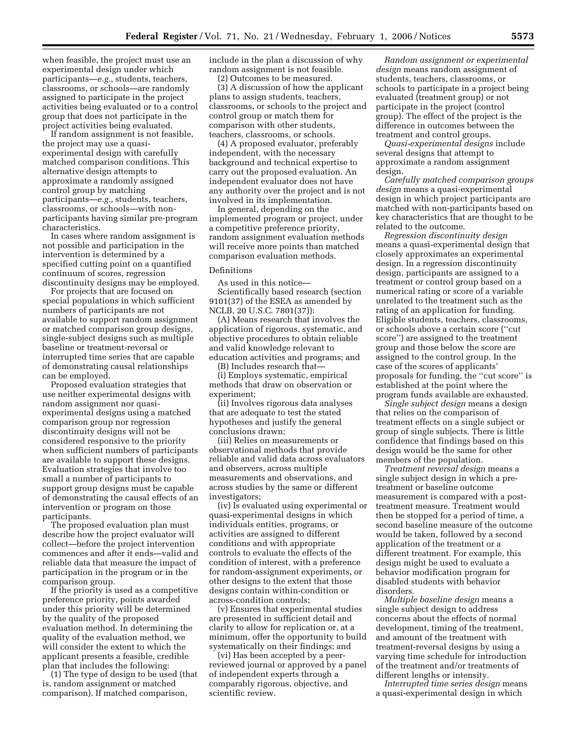when feasible, the project must use an experimental design under which participants—*e.g.*, students, teachers, classrooms, or schools—are randomly assigned to participate in the project activities being evaluated or to a control group that does not participate in the project activities being evaluated.

If random assignment is not feasible, the project may use a quasiexperimental design with carefully matched comparison conditions. This alternative design attempts to approximate a randomly assigned control group by matching participants—*e.g.*, students, teachers, classrooms, or schools—with nonparticipants having similar pre-program characteristics.

In cases where random assignment is not possible and participation in the intervention is determined by a specified cutting point on a quantified continuum of scores, regression discontinuity designs may be employed.

For projects that are focused on special populations in which sufficient numbers of participants are not available to support random assignment or matched comparison group designs, single-subject designs such as multiple baseline or treatment-reversal or interrupted time series that are capable of demonstrating causal relationships can be employed.

Proposed evaluation strategies that use neither experimental designs with random assignment nor quasiexperimental designs using a matched comparison group nor regression discontinuity designs will not be considered responsive to the priority when sufficient numbers of participants are available to support these designs. Evaluation strategies that involve too small a number of participants to support group designs must be capable of demonstrating the causal effects of an intervention or program on those participants.

The proposed evaluation plan must describe how the project evaluator will collect—before the project intervention commences and after it ends—valid and reliable data that measure the impact of participation in the program or in the comparison group.

If the priority is used as a competitive preference priority, points awarded under this priority will be determined by the quality of the proposed evaluation method. In determining the quality of the evaluation method, we will consider the extent to which the applicant presents a feasible, credible plan that includes the following:

(1) The type of design to be used (that is, random assignment or matched comparison). If matched comparison,

include in the plan a discussion of why random assignment is not feasible.

(2) Outcomes to be measured.

(3) A discussion of how the applicant plans to assign students, teachers, classrooms, or schools to the project and control group or match them for comparison with other students, teachers, classrooms, or schools.

(4) A proposed evaluator, preferably independent, with the necessary background and technical expertise to carry out the proposed evaluation. An independent evaluator does not have any authority over the project and is not involved in its implementation.

In general, depending on the implemented program or project, under a competitive preference priority, random assignment evaluation methods will receive more points than matched comparison evaluation methods.

#### Definitions

As used in this notice—

Scientifically based research (section 9101(37) of the ESEA as amended by NCLB, 20 U.S.C. 7801(37)):

(A) Means research that involves the application of rigorous, systematic, and objective procedures to obtain reliable and valid knowledge relevant to education activities and programs; and

(B) Includes research that— (i) Employs systematic, empirical methods that draw on observation or experiment;

(ii) Involves rigorous data analyses that are adequate to test the stated hypotheses and justify the general conclusions drawn;

(iii) Relies on measurements or observational methods that provide reliable and valid data across evaluators and observers, across multiple measurements and observations, and across studies by the same or different investigators;

(iv) Is evaluated using experimental or quasi-experimental designs in which individuals entities, programs, or activities are assigned to different conditions and with appropriate controls to evaluate the effects of the condition of interest, with a preference for random-assignment experiments, or other designs to the extent that those designs contain within-condition or across-condition controls;

(v) Ensures that experimental studies are presented in sufficient detail and clarity to allow for replication or, at a minimum, offer the opportunity to build systematically on their findings; and

(vi) Has been accepted by a peerreviewed journal or approved by a panel of independent experts through a comparably rigorous, objective, and scientific review.

*Random assignment or experimental design* means random assignment of students, teachers, classrooms, or schools to participate in a project being evaluated (treatment group) or not participate in the project (control group). The effect of the project is the difference in outcomes between the treatment and control groups.

*Quasi-experimental designs* include several designs that attempt to approximate a random assignment design.

*Carefully matched comparison groups design* means a quasi-experimental design in which project participants are matched with non-participants based on key characteristics that are thought to be related to the outcome.

*Regression discontinuity design*  means a quasi-experimental design that closely approximates an experimental design. In a regression discontinuity design, participants are assigned to a treatment or control group based on a numerical rating or score of a variable unrelated to the treatment such as the rating of an application for funding. Eligible students, teachers, classrooms, or schools above a certain score (''cut score'') are assigned to the treatment group and those below the score are assigned to the control group. In the case of the scores of applicants' proposals for funding, the ''cut score'' is established at the point where the program funds available are exhausted.

*Single subject design* means a design that relies on the comparison of treatment effects on a single subject or group of single subjects. There is little confidence that findings based on this design would be the same for other members of the population.

*Treatment reversal design* means a single subject design in which a pretreatment or baseline outcome measurement is compared with a posttreatment measure. Treatment would then be stopped for a period of time, a second baseline measure of the outcome would be taken, followed by a second application of the treatment or a different treatment. For example, this design might be used to evaluate a behavior modification program for disabled students with behavior disorders.

*Multiple baseline design* means a single subject design to address concerns about the effects of normal development, timing of the treatment, and amount of the treatment with treatment-reversal designs by using a varying time schedule for introduction of the treatment and/or treatments of different lengths or intensity.

*Interrupted time series design* means a quasi-experimental design in which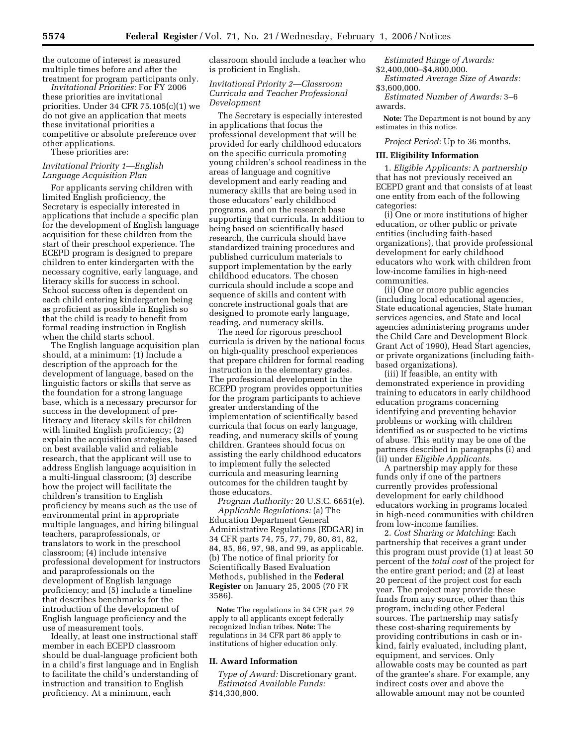the outcome of interest is measured multiple times before and after the treatment for program participants only.

*Invitational Priorities:* For FY 2006 these priorities are invitational priorities. Under 34 CFR 75.105(c)(1) we do not give an application that meets these invitational priorities a competitive or absolute preference over other applications.

These priorities are:

### *Invitational Priority 1—English Language Acquisition Plan*

For applicants serving children with limited English proficiency, the Secretary is especially interested in applications that include a specific plan for the development of English language acquisition for these children from the start of their preschool experience. The ECEPD program is designed to prepare children to enter kindergarten with the necessary cognitive, early language, and literacy skills for success in school. School success often is dependent on each child entering kindergarten being as proficient as possible in English so that the child is ready to benefit from formal reading instruction in English when the child starts school.

The English language acquisition plan should, at a minimum: (1) Include a description of the approach for the development of language, based on the linguistic factors or skills that serve as the foundation for a strong language base, which is a necessary precursor for success in the development of preliteracy and literacy skills for children with limited English proficiency; (2) explain the acquisition strategies, based on best available valid and reliable research, that the applicant will use to address English language acquisition in a multi-lingual classroom; (3) describe how the project will facilitate the children's transition to English proficiency by means such as the use of environmental print in appropriate multiple languages, and hiring bilingual teachers, paraprofessionals, or translators to work in the preschool classroom; (4) include intensive professional development for instructors and paraprofessionals on the development of English language proficiency; and (5) include a timeline that describes benchmarks for the introduction of the development of English language proficiency and the use of measurement tools.

Ideally, at least one instructional staff member in each ECEPD classroom should be dual-language proficient both in a child's first language and in English to facilitate the child's understanding of instruction and transition to English proficiency. At a minimum, each

classroom should include a teacher who is proficient in English.

# *Invitational Priority 2—Classroom Curricula and Teacher Professional Development*

The Secretary is especially interested in applications that focus the professional development that will be provided for early childhood educators on the specific curricula promoting young children's school readiness in the areas of language and cognitive development and early reading and numeracy skills that are being used in those educators' early childhood programs, and on the research base supporting that curricula. In addition to being based on scientifically based research, the curricula should have standardized training procedures and published curriculum materials to support implementation by the early childhood educators. The chosen curricula should include a scope and sequence of skills and content with concrete instructional goals that are designed to promote early language, reading, and numeracy skills.

The need for rigorous preschool curricula is driven by the national focus on high-quality preschool experiences that prepare children for formal reading instruction in the elementary grades. The professional development in the ECEPD program provides opportunities for the program participants to achieve greater understanding of the implementation of scientifically based curricula that focus on early language, reading, and numeracy skills of young children. Grantees should focus on assisting the early childhood educators to implement fully the selected curricula and measuring learning outcomes for the children taught by those educators.

*Program Authority:* 20 U.S.C. 6651(e). *Applicable Regulations:* (a) The Education Department General Administrative Regulations (EDGAR) in 34 CFR parts 74, 75, 77, 79, 80, 81, 82, 84, 85, 86, 97, 98, and 99, as applicable. (b) The notice of final priority for Scientifically Based Evaluation Methods, published in the **Federal Register** on January 25, 2005 (70 FR 3586).

**Note:** The regulations in 34 CFR part 79 apply to all applicants except federally recognized Indian tribes. **Note:** The regulations in 34 CFR part 86 apply to institutions of higher education only.

#### **II. Award Information**

*Type of Award:* Discretionary grant. *Estimated Available Funds:*  \$14,330,800.

*Estimated Range of Awards:*  \$2,400,000–\$4,800,000.

*Estimated Average Size of Awards:*  \$3,600,000.

*Estimated Number of Awards:* 3–6 awards.

**Note:** The Department is not bound by any estimates in this notice.

*Project Period:* Up to 36 months.

#### **III. Eligibility Information**

1. *Eligible Applicants:* A *partnership*  that has not previously received an ECEPD grant and that consists of at least one entity from each of the following categories:

(i) One or more institutions of higher education, or other public or private entities (including faith-based organizations), that provide professional development for early childhood educators who work with children from low-income families in high-need communities.

(ii) One or more public agencies (including local educational agencies, State educational agencies, State human services agencies, and State and local agencies administering programs under the Child Care and Development Block Grant Act of 1990), Head Start agencies, or private organizations (including faithbased organizations).

(iii) If feasible, an entity with demonstrated experience in providing training to educators in early childhood education programs concerning identifying and preventing behavior problems or working with children identified as or suspected to be victims of abuse. This entity may be one of the partners described in paragraphs (i) and (ii) under *Eligible Applicants*.

A partnership may apply for these funds only if one of the partners currently provides professional development for early childhood educators working in programs located in high-need communities with children from low-income families.

2. *Cost Sharing or Matching*: Each partnership that receives a grant under this program must provide (1) at least 50 percent of the *total cost* of the project for the entire grant period; and (2) at least 20 percent of the project cost for each year. The project may provide these funds from any source, other than this program, including other Federal sources. The partnership may satisfy these cost-sharing requirements by providing contributions in cash or inkind, fairly evaluated, including plant, equipment, and services. Only allowable costs may be counted as part of the grantee's share. For example, any indirect costs over and above the allowable amount may not be counted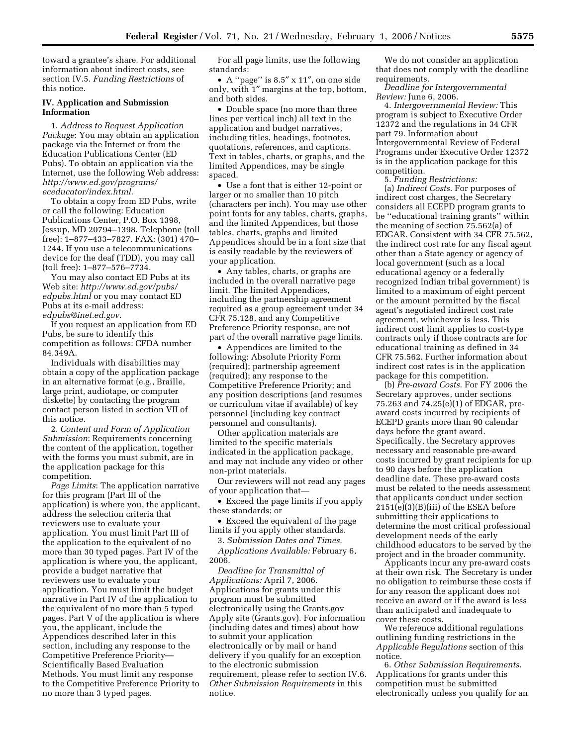toward a grantee's share. For additional information about indirect costs, see section IV.5. *Funding Restrictions* of this notice.

# **IV. Application and Submission Information**

1. *Address to Request Application Package*: You may obtain an application package via the Internet or from the Education Publications Center (ED Pubs). To obtain an application via the Internet, use the following Web address: *http://www.ed.gov/programs/ eceducator/index.html*.

To obtain a copy from ED Pubs, write or call the following: Education Publications Center, P.O. Box 1398, Jessup, MD 20794–1398. Telephone (toll free): 1–877–433–7827. FAX: (301) 470– 1244. If you use a telecommunications device for the deaf (TDD), you may call (toll free): 1–877–576–7734.

You may also contact ED Pubs at its Web site: *http://www.ed.gov/pubs/ edpubs.html* or you may contact ED Pubs at its e-mail address: *edpubs@inet.ed.gov*.

If you request an application from ED Pubs, be sure to identify this competition as follows: CFDA number 84.349A.

Individuals with disabilities may obtain a copy of the application package in an alternative format (e.g., Braille, large print, audiotape, or computer diskette) by contacting the program contact person listed in section VII of this notice.

2. *Content and Form of Application Submission*: Requirements concerning the content of the application, together with the forms you must submit, are in the application package for this competition.

*Page Limits*: The application narrative for this program (Part III of the application) is where you, the applicant, address the selection criteria that reviewers use to evaluate your application. You must limit Part III of the application to the equivalent of no more than 30 typed pages. Part IV of the application is where you, the applicant, provide a budget narrative that reviewers use to evaluate your application. You must limit the budget narrative in Part IV of the application to the equivalent of no more than 5 typed pages. Part V of the application is where you, the applicant, include the Appendices described later in this section, including any response to the Competitive Preference Priority— Scientifically Based Evaluation Methods. You must limit any response to the Competitive Preference Priority to no more than 3 typed pages.

For all page limits, use the following standards:

• A ''page'' is 8.5″ x 11″, on one side only, with 1″ margins at the top, bottom, and both sides.

• Double space (no more than three lines per vertical inch) all text in the application and budget narratives, including titles, headings, footnotes, quotations, references, and captions. Text in tables, charts, or graphs, and the limited Appendices, may be single spaced.

• Use a font that is either 12-point or larger or no smaller than 10 pitch (characters per inch). You may use other point fonts for any tables, charts, graphs, and the limited Appendices, but those tables, charts, graphs and limited Appendices should be in a font size that is easily readable by the reviewers of your application.

• Any tables, charts, or graphs are included in the overall narrative page limit. The limited Appendices, including the partnership agreement required as a group agreement under 34 CFR 75.128, and any Competitive Preference Priority response, are not part of the overall narrative page limits.

• Appendices are limited to the following: Absolute Priority Form (required); partnership agreement (required); any response to the Competitive Preference Priority; and any position descriptions (and resumes or curriculum vitae if available) of key personnel (including key contract personnel and consultants).

Other application materials are limited to the specific materials indicated in the application package, and may not include any video or other non-print materials.

Our reviewers will not read any pages of your application that—

• Exceed the page limits if you apply these standards; or

• Exceed the equivalent of the page limits if you apply other standards.

3. *Submission Dates and Times*. *Applications Available:* February 6,

2006.

*Deadline for Transmittal of Applications:* April 7, 2006. Applications for grants under this program must be submitted electronically using the Grants.gov Apply site (Grants.gov). For information (including dates and times) about how to submit your application electronically or by mail or hand delivery if you qualify for an exception to the electronic submission requirement, please refer to section IV.6. *Other Submission Requirements* in this notice.

We do not consider an application that does not comply with the deadline requirements.

*Deadline for Intergovernmental Review:* June 6, 2006.

4. *Intergovernmental Review:* This program is subject to Executive Order 12372 and the regulations in 34 CFR part 79. Information about Intergovernmental Review of Federal Programs under Executive Order 12372 is in the application package for this competition.

5. *Funding Restrictions:* 

(a) *Indirect Costs*. For purposes of indirect cost charges, the Secretary considers all ECEPD program grants to be ''educational training grants'' within the meaning of section 75.562(a) of EDGAR. Consistent with 34 CFR 75.562, the indirect cost rate for any fiscal agent other than a State agency or agency of local government (such as a local educational agency or a federally recognized Indian tribal government) is limited to a maximum of eight percent or the amount permitted by the fiscal agent's negotiated indirect cost rate agreement, whichever is less. This indirect cost limit applies to cost-type contracts only if those contracts are for educational training as defined in 34 CFR 75.562. Further information about indirect cost rates is in the application package for this competition.

(b) *Pre-award Costs*. For FY 2006 the Secretary approves, under sections 75.263 and 74.25(e)(1) of EDGAR, preaward costs incurred by recipients of ECEPD grants more than 90 calendar days before the grant award. Specifically, the Secretary approves necessary and reasonable pre-award costs incurred by grant recipients for up to 90 days before the application deadline date. These pre-award costs must be related to the needs assessment that applicants conduct under section 2151(e)(3)(B)(iii) of the ESEA before submitting their applications to determine the most critical professional development needs of the early childhood educators to be served by the project and in the broader community.

Applicants incur any pre-award costs at their own risk. The Secretary is under no obligation to reimburse these costs if for any reason the applicant does not receive an award or if the award is less than anticipated and inadequate to cover these costs.

We reference additional regulations outlining funding restrictions in the *Applicable Regulations* section of this notice.

6. *Other Submission Requirements*. Applications for grants under this competition must be submitted electronically unless you qualify for an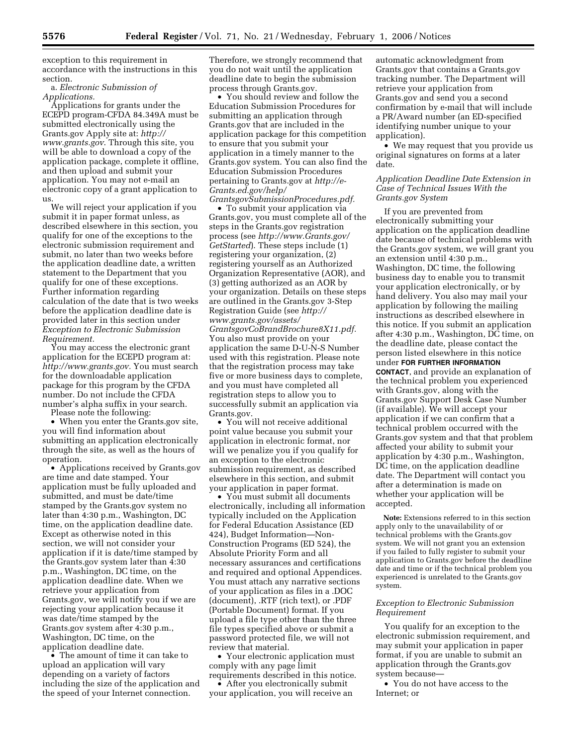exception to this requirement in accordance with the instructions in this section.

a. *Electronic Submission of Applications.* 

Applications for grants under the ECEPD program-CFDA 84.349A must be submitted electronically using the Grants.gov Apply site at: *http:// www.grants.gov*. Through this site, you will be able to download a copy of the application package, complete it offline, and then upload and submit your application. You may not e-mail an electronic copy of a grant application to us.

We will reject your application if you submit it in paper format unless, as described elsewhere in this section, you qualify for one of the exceptions to the electronic submission requirement and submit, no later than two weeks before the application deadline date, a written statement to the Department that you qualify for one of these exceptions. Further information regarding calculation of the date that is two weeks before the application deadline date is provided later in this section under *Exception to Electronic Submission Requirement.* 

You may access the electronic grant application for the ECEPD program at: *http://www.grants.gov.* You must search for the downloadable application package for this program by the CFDA number. Do not include the CFDA number's alpha suffix in your search.

Please note the following:

• When you enter the Grants.gov site, you will find information about submitting an application electronically through the site, as well as the hours of operation.

• Applications received by Grants.gov are time and date stamped. Your application must be fully uploaded and submitted, and must be date/time stamped by the Grants.gov system no later than 4:30 p.m., Washington, DC time, on the application deadline date. Except as otherwise noted in this section, we will not consider your application if it is date/time stamped by the Grants.gov system later than 4:30 p.m., Washington, DC time, on the application deadline date. When we retrieve your application from Grants.gov, we will notify you if we are rejecting your application because it was date/time stamped by the Grants.gov system after 4:30 p.m., Washington, DC time, on the application deadline date.

• The amount of time it can take to upload an application will vary depending on a variety of factors including the size of the application and the speed of your Internet connection.

Therefore, we strongly recommend that you do not wait until the application deadline date to begin the submission process through Grants.gov.

• You should review and follow the Education Submission Procedures for submitting an application through Grants.gov that are included in the application package for this competition to ensure that you submit your application in a timely manner to the Grants.gov system. You can also find the Education Submission Procedures pertaining to Grants.gov at *http://e-Grants.ed.gov/help/ GrantsgovSubmissionProcedures.pdf.* 

• To submit your application via Grants.gov, you must complete all of the steps in the Grants.gov registration process (see *http://www.Grants.gov/ GetStarted*). These steps include (1) registering your organization, (2) registering yourself as an Authorized Organization Representative (AOR), and (3) getting authorized as an AOR by your organization. Details on these steps are outlined in the Grants.gov 3-Step Registration Guide (see *http:// www.grants.gov/assets/ GrantsgovCoBrandBrochure8X11.pdf.*  You also must provide on your application the same D-U-N-S Number used with this registration. Please note that the registration process may take five or more business days to complete, and you must have completed all registration steps to allow you to successfully submit an application via Grants.gov.

• You will not receive additional point value because you submit your application in electronic format, nor will we penalize you if you qualify for an exception to the electronic submission requirement, as described elsewhere in this section, and submit your application in paper format.

• You must submit all documents electronically, including all information typically included on the Application for Federal Education Assistance (ED 424), Budget Information—Non-Construction Programs (ED 524), the Absolute Priority Form and all necessary assurances and certifications and required and optional Appendices. You must attach any narrative sections of your application as files in a .DOC (document), .RTF (rich text), or .PDF (Portable Document) format. If you upload a file type other than the three file types specified above or submit a password protected file, we will not review that material.

• Your electronic application must comply with any page limit requirements described in this notice.

• After you electronically submit your application, you will receive an automatic acknowledgment from Grants.gov that contains a Grants.gov tracking number. The Department will retrieve your application from Grants.gov and send you a second confirmation by e-mail that will include a PR/Award number (an ED-specified identifying number unique to your application).

• We may request that you provide us original signatures on forms at a later date.

# *Application Deadline Date Extension in Case of Technical Issues With the Grants.gov System*

If you are prevented from electronically submitting your application on the application deadline date because of technical problems with the Grants.gov system, we will grant you an extension until 4:30 p.m., Washington, DC time, the following business day to enable you to transmit your application electronically, or by hand delivery. You also may mail your application by following the mailing instructions as described elsewhere in this notice. If you submit an application after 4:30 p.m., Washington, DC time, on the deadline date, please contact the person listed elsewhere in this notice under **FOR FURTHER INFORMATION CONTACT**, and provide an explanation of the technical problem you experienced with Grants.gov, along with the Grants.gov Support Desk Case Number (if available). We will accept your application if we can confirm that a technical problem occurred with the Grants.gov system and that that problem affected your ability to submit your application by 4:30 p.m., Washington, DC time, on the application deadline date. The Department will contact you after a determination is made on whether your application will be accepted.

**Note:** Extensions referred to in this section apply only to the unavailability of or technical problems with the Grants.gov system. We will not grant you an extension if you failed to fully register to submit your application to Grants.gov before the deadline date and time or if the technical problem you experienced is unrelated to the Grants.gov system.

#### *Exception to Electronic Submission Requirement*

You qualify for an exception to the electronic submission requirement, and may submit your application in paper format, if you are unable to submit an application through the Grants.gov system because—

• You do not have access to the Internet; or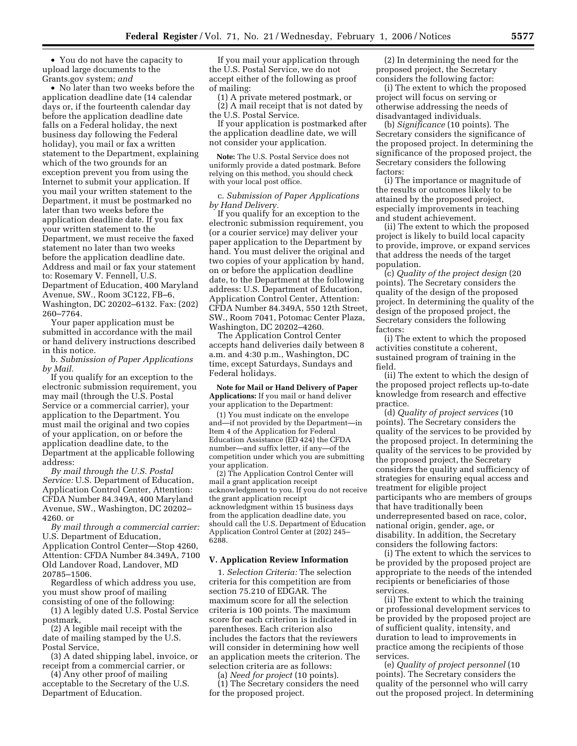• You do not have the capacity to upload large documents to the Grants.gov system; *and* 

• No later than two weeks before the application deadline date (14 calendar days or, if the fourteenth calendar day before the application deadline date falls on a Federal holiday, the next business day following the Federal holiday), you mail or fax a written statement to the Department, explaining which of the two grounds for an exception prevent you from using the Internet to submit your application. If you mail your written statement to the Department, it must be postmarked no later than two weeks before the application deadline date. If you fax your written statement to the Department, we must receive the faxed statement no later than two weeks before the application deadline date. Address and mail or fax your statement to: Rosemary V. Fennell, U.S. Department of Education, 400 Maryland Avenue, SW., Room 3C122, FB–6, Washington, DC 20202–6132. Fax: (202) 260–7764.

Your paper application must be submitted in accordance with the mail or hand delivery instructions described in this notice.

b. *Submission of Paper Applications by Mail.* 

If you qualify for an exception to the electronic submission requirement, you may mail (through the U.S. Postal Service or a commercial carrier), your application to the Department. You must mail the original and two copies of your application, on or before the application deadline date, to the Department at the applicable following address:

*By mail through the U.S. Postal Service:* U.S. Department of Education, Application Control Center, Attention: CFDA Number 84.349A, 400 Maryland Avenue, SW., Washington, DC 20202– 4260. or

*By mail through a commercial carrier:*  U.S. Department of Education, Application Control Center—Stop 4260, Attention: CFDA Number 84.349A, 7100 Old Landover Road, Landover, MD 20785–1506.

Regardless of which address you use, you must show proof of mailing consisting of one of the following:

(1) A legibly dated U.S. Postal Service postmark,

(2) A legible mail receipt with the date of mailing stamped by the U.S. Postal Service,

(3) A dated shipping label, invoice, or receipt from a commercial carrier, or

(4) Any other proof of mailing acceptable to the Secretary of the U.S. Department of Education.

If you mail your application through the U.S. Postal Service, we do not accept either of the following as proof of mailing:

(1) A private metered postmark, or (2) A mail receipt that is not dated by the U.S. Postal Service.

If your application is postmarked after the application deadline date, we will not consider your application.

**Note:** The U.S. Postal Service does not uniformly provide a dated postmark. Before relying on this method, you should check with your local post office.

c. *Submission of Paper Applications by Hand Delivery.* 

If you qualify for an exception to the electronic submission requirement, you (or a courier service) may deliver your paper application to the Department by hand. You must deliver the original and two copies of your application by hand, on or before the application deadline date, to the Department at the following address: U.S. Department of Education, Application Control Center, Attention: CFDA Number 84.349A, 550 12th Street, SW., Room 7041, Potomac Center Plaza, Washington, DC 20202–4260.

The Application Control Center accepts hand deliveries daily between 8 a.m. and 4:30 p.m., Washington, DC time, except Saturdays, Sundays and Federal holidays.

**Note for Mail or Hand Delivery of Paper Applications:** If you mail or hand deliver your application to the Department:

(1) You must indicate on the envelope and—if not provided by the Department—in Item 4 of the Application for Federal Education Assistance (ED 424) the CFDA number—and suffix letter, if any—of the competition under which you are submitting your application.

(2) The Application Control Center will mail a grant application receipt acknowledgment to you. If you do not receive the grant application receipt acknowledgment within 15 business days from the application deadline date, you should call the U.S. Department of Education Application Control Center at (202) 245– 6288.

# **V. Application Review Information**

1. *Selection Criteria:* The selection criteria for this competition are from section 75.210 of EDGAR. The maximum score for all the selection criteria is 100 points. The maximum score for each criterion is indicated in parentheses. Each criterion also includes the factors that the reviewers will consider in determining how well an application meets the criterion. The selection criteria are as follows:

(a) *Need for project* (10 points). (1) The Secretary considers the need for the proposed project.

(2) In determining the need for the proposed project, the Secretary considers the following factor:

(i) The extent to which the proposed project will focus on serving or otherwise addressing the needs of disadvantaged individuals.

(b) *Significance* (10 points). The Secretary considers the significance of the proposed project. In determining the significance of the proposed project, the Secretary considers the following factors:

(i) The importance or magnitude of the results or outcomes likely to be attained by the proposed project, especially improvements in teaching and student achievement.

(ii) The extent to which the proposed project is likely to build local capacity to provide, improve, or expand services that address the needs of the target population.

(c) *Quality of the project design* (20 points). The Secretary considers the quality of the design of the proposed project. In determining the quality of the design of the proposed project, the Secretary considers the following factors:

(i) The extent to which the proposed activities constitute a coherent, sustained program of training in the field.

(ii) The extent to which the design of the proposed project reflects up-to-date knowledge from research and effective practice.

(d) *Quality of project services* (10 points). The Secretary considers the quality of the services to be provided by the proposed project. In determining the quality of the services to be provided by the proposed project, the Secretary considers the quality and sufficiency of strategies for ensuring equal access and treatment for eligible project participants who are members of groups that have traditionally been underrepresented based on race, color, national origin, gender, age, or disability. In addition, the Secretary considers the following factors:

(i) The extent to which the services to be provided by the proposed project are appropriate to the needs of the intended recipients or beneficiaries of those services.

(ii) The extent to which the training or professional development services to be provided by the proposed project are of sufficient quality, intensity, and duration to lead to improvements in practice among the recipients of those services.

(e) *Quality of project personnel* (10 points). The Secretary considers the quality of the personnel who will carry out the proposed project. In determining